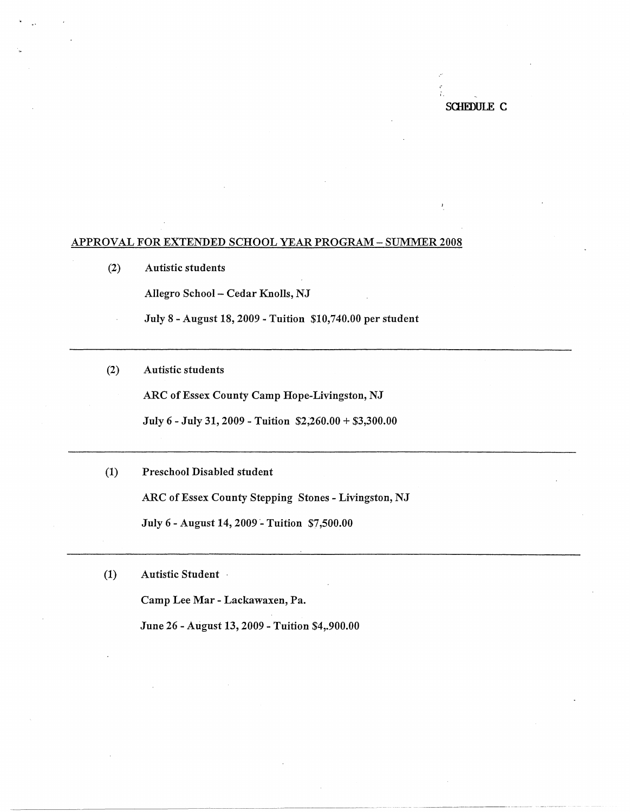SClIEDULE C

\_\_\_\_\_\_\_\_\_\_\_\_\_ , \_\_ ,,\_ -------- ----

## APPROVAL FOR EXTENDED SCHOOL YEAR PROGRAM- SUMMER 2008

(2) Autistic students

· ..

Allegro School - Cedar Knolls, NJ

July 8 - August 18, 2009 - Tuition \$10,740.00 per student

(2) Autistic students

ARC of Essex County Camp Hope-Livingston, NJ

July 6 - July 31, 2009 - Tuition \$2,260.00 + \$3,300.00

- (1) Preschool Disabled student ARC of Essex County Stepping Stones - Livingston, NJ July 6 - August 14, 2009 - Tuition \$7,500.00
- (1) Autistic Student -

Camp Lee Mar - Lackawaxen, Pa.

June 26 - August 13, 2009 - Tuition \$4,.900.00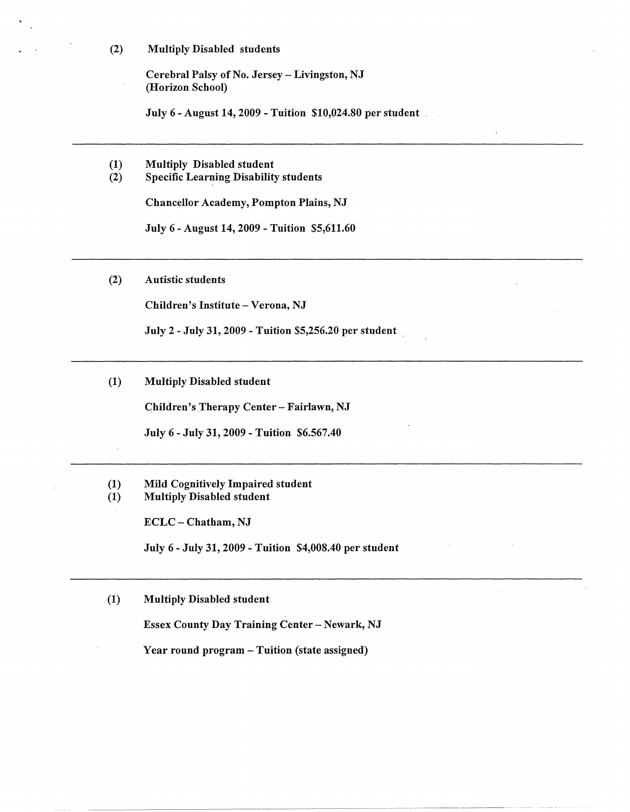(2) Multiply Disabled students

Cerebral Palsy of No. Jersey- Livingston, NJ (Horizon School)

July 6 - August 14, 2009 - Tuition \$10,024.80 per student \_

- (1) Multiply Disabled student<br>(2) Specific Learning Disability
- Specific Learning Disability students

Chancellor Academy, Pompton Plains, NJ

July 6 - August 14, 2009 - Tuition \$5,611.60

(2) Autistic students

Children's Institute - Verona, NJ

July 2 - July 31, 2009 - Tuition \$5,256.20 per student .

(1) Multiply Disabled student

Children's Therapy Center - Fairlawn, NJ

July 6- July 31, 2009 -Tuition \$6.567.40

(1) Mild Cognitively Impaired student (1) Multiply Disabled student

ECLC - Chatham, NJ

July 6 - July 31, 2009 - Tuition \$4,008.40 per student

. (1) Multiply Disabled student

Essex County Day Training Center - Newark, NJ

Year round program - Tuition (state assigned)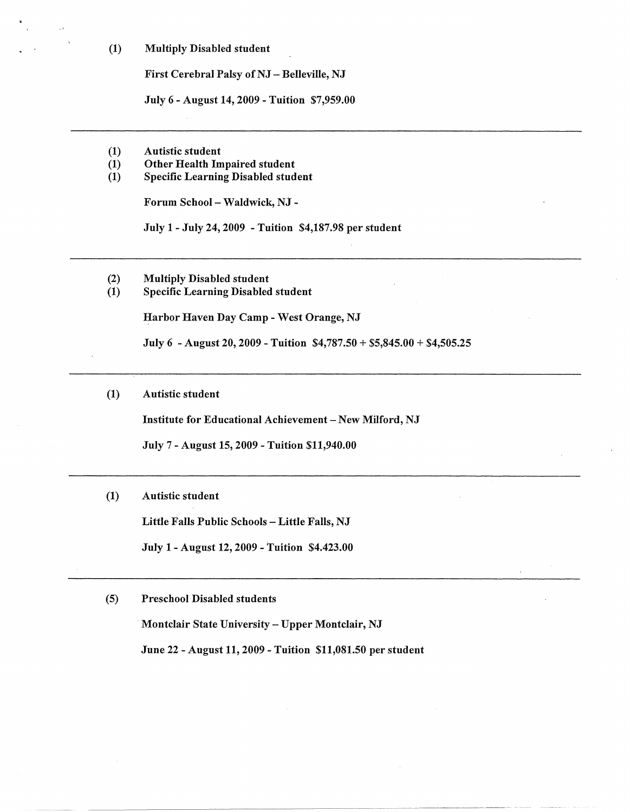(1) Multiply Disabled student

First Cerebral Palsy of NJ - Belleville, NJ

July 6-August 14, 2009 -Tuition \$7,959.00

- (1) Autistic student
- (1) Other Health Impaired student<br>(1) Specific Learning Disabled stud
- Specific Learning Disabled student

Forum School - Waldwick, NJ -

July 1- July 24, 2009 - Tuition \$4,187.98 per student

- (2) Multiply Disabled student
- (1) Specific Learning Disabled student

Harbor Haven Day Camp - West Orange, NJ

July 6 -August 20, 2009-Tuition \$4,787.50 + \$5,845.00 + \$4,505.25

(1) Autistic student

Institute for Educational Achievement - New Milford, NJ

July 7 - August 15, 2009 - Tuition \$11,940.00

**(1)** Autistic student

Little Falls Public Schools - Little Falls, NJ

July 1- August 12, 2009 -Tuition \$4.423.00

(5) Preschool Disabled students

Montclair State University - Upper Montclair, NJ

June 22 - August 11, 2009 - Tuition \$11,081.50 per student